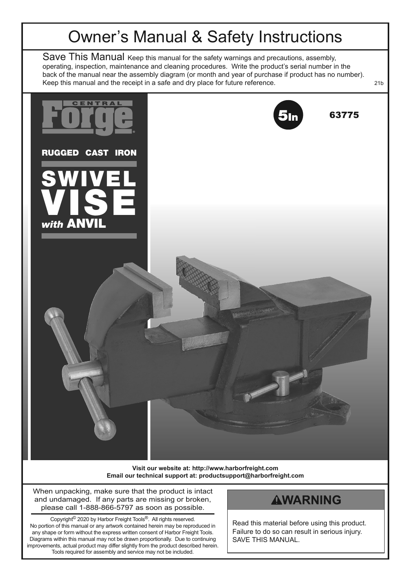## Owner's Manual & Safety Instructions

Save This Manual Keep this manual for the safety warnings and precautions, assembly, operating, inspection, maintenance and cleaning procedures. Write the product's serial number in the back of the manual near the assembly diagram (or month and year of purchase if product has no number). Keep this manual and the receipt in a safe and dry place for future reference.  $\sim$  21b



**Visit our website at: http://www.harborfreight.com Email our technical support at: productsupport@harborfreight.com**

When unpacking, make sure that the product is intact and undamaged. If any parts are missing or broken, please call 1-888-866-5797 as soon as possible.

Copyright© 2020 by Harbor Freight Tools®. All rights reserved. No portion of this manual or any artwork contained herein may be reproduced in any shape or form without the express written consent of Harbor Freight Tools. Diagrams within this manual may not be drawn proportionally. Due to continuing improvements, actual product may differ slightly from the product described herein. Tools required for assembly and service may not be included.

#### **AWARNING**

Read this material before using this product. Failure to do so can result in serious injury. SAVE THIS MANUAL.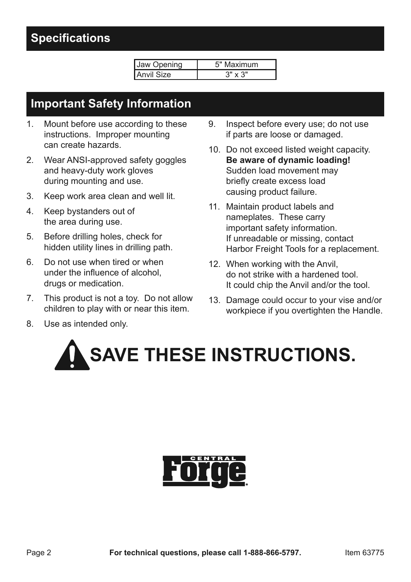#### **Specifications**

| Onening | laximum<br>5" |
|---------|---------------|
| `ize∶   | x 3"          |

#### **Important Safety Information**

- 1. Mount before use according to these instructions. Improper mounting can create hazards.
- 2. Wear ANSI-approved safety goggles and heavy-duty work gloves during mounting and use.
- 3. Keep work area clean and well lit.
- 4. Keep bystanders out of the area during use.
- 5. Before drilling holes, check for hidden utility lines in drilling path.
- 6. Do not use when tired or when under the influence of alcohol, drugs or medication.
- 7. This product is not a toy. Do not allow children to play with or near this item.
- 8. Use as intended only.
- 9. Inspect before every use; do not use if parts are loose or damaged.
- 10. Do not exceed listed weight capacity. **Be aware of dynamic loading!** Sudden load movement may briefly create excess load causing product failure.
- 11. Maintain product labels and nameplates. These carry important safety information. If unreadable or missing, contact Harbor Freight Tools for a replacement.
- 12. When working with the Anvil, do not strike with a hardened tool. It could chip the Anvil and/or the tool.
- 13. Damage could occur to your vise and/or workpiece if you overtighten the Handle.

# **SAVE THESE INSTRUCTIONS.**

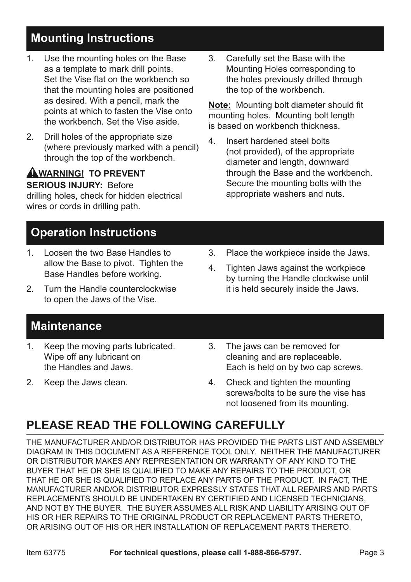### **Mounting Instructions**

- 1. Use the mounting holes on the Base as a template to mark drill points. Set the Vise flat on the workbench so that the mounting holes are positioned as desired. With a pencil, mark the points at which to fasten the Vise onto the workbench. Set the Vise aside.
- 2. Drill holes of the appropriate size (where previously marked with a pencil) through the top of the workbench.

#### **AWARNING! TO PREVENT SERIOUS INJURY:** Before

drilling holes, check for hidden electrical wires or cords in drilling path.

## **Operation Instructions**

- 1. Loosen the two Base Handles to allow the Base to pivot. Tighten the Base Handles before working.
- 2. Turn the Handle counterclockwise to open the Jaws of the Vise.

3. Carefully set the Base with the Mounting Holes corresponding to the holes previously drilled through the top of the workbench.

**Note:** Mounting bolt diameter should fit mounting holes. Mounting bolt length is based on workbench thickness.

- 4. Insert hardened steel bolts (not provided), of the appropriate diameter and length, downward through the Base and the workbench. Secure the mounting bolts with the appropriate washers and nuts.
- 3. Place the workpiece inside the Jaws.
- 4. Tighten Jaws against the workpiece by turning the Handle clockwise until it is held securely inside the Jaws.

#### **Maintenance**

- 1. Keep the moving parts lubricated. Wipe off any lubricant on the Handles and Jaws.
- 2. Keep the Jaws clean.
- 3. The jaws can be removed for cleaning and are replaceable. Each is held on by two cap screws.
- 4. Check and tighten the mounting screws/bolts to be sure the vise has not loosened from its mounting.

## **PLEASE READ THE FOLLOWING CAREFULLY**

THE MANUFACTURER AND/OR DISTRIBUTOR HAS PROVIDED THE PARTS LIST AND ASSEMBLY DIAGRAM IN THIS DOCUMENT AS A REFERENCE TOOL ONLY. NEITHER THE MANUFACTURER OR DISTRIBUTOR MAKES ANY REPRESENTATION OR WARRANTY OF ANY KIND TO THE BUYER THAT HE OR SHE IS QUALIFIED TO MAKE ANY REPAIRS TO THE PRODUCT, OR THAT HE OR SHE IS QUALIFIED TO REPLACE ANY PARTS OF THE PRODUCT. IN FACT, THE MANUFACTURER AND/OR DISTRIBUTOR EXPRESSLY STATES THAT ALL REPAIRS AND PARTS REPLACEMENTS SHOULD BE UNDERTAKEN BY CERTIFIED AND LICENSED TECHNICIANS, AND NOT BY THE BUYER. THE BUYER ASSUMES ALL RISK AND LIABILITY ARISING OUT OF HIS OR HER REPAIRS TO THE ORIGINAL PRODUCT OR REPLACEMENT PARTS THERETO, OR ARISING OUT OF HIS OR HER INSTALLATION OF REPLACEMENT PARTS THERETO.